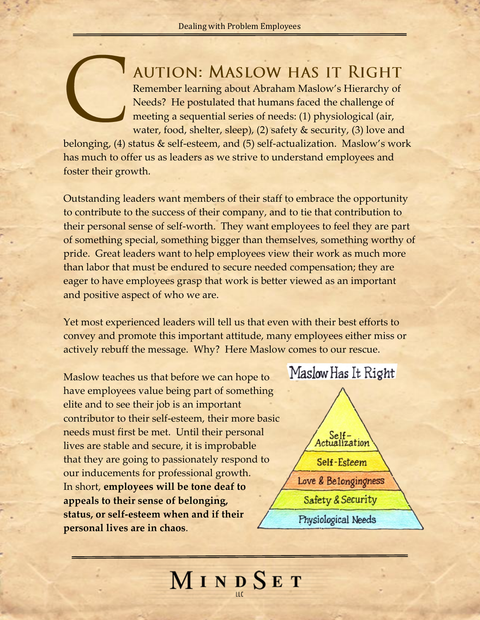## **AUTION: MASLOW HAS IT RIGHT**

Remember learning about Abraham Maslow's Hierarchy of Needs? He postulated that humans faced the challenge of meeting a sequential series of needs: (1) physiological (air, water, food, shelter, sleep), (2) safety & security, (3) love and

belonging, (4) status & self-esteem, and (5) self-actualization. Maslow's work has much to offer us as leaders as we strive to understand employees and foster their growth.

Outstanding leaders want members of their staff to embrace the opportunity to contribute to the success of their company, and to tie that contribution to their personal sense of self-worth. They want employees to feel they are part of something special, something bigger than themselves, something worthy of pride. Great leaders want to help employees view their work as much more than labor that must be endured to secure needed compensation; they are eager to have employees grasp that work is better viewed as an important and positive aspect of who we are.

Yet most experienced leaders will tell us that even with their best efforts to convey and promote this important attitude, many employees either miss or actively rebuff the message. Why? Here Maslow comes to our rescue.

Maslow teaches us that before we can hope to have employees value being part of something elite and to see their job is an important contributor to their self-esteem, their more basic needs must first be met. Until their personal lives are stable and secure, it is improbable that they are going to passionately respond to our inducements for professional growth. In short, **employees will be tone deaf to appeals to their sense of belonging, status, or self-esteem when and if their personal lives are in chaos**.



MINDSET